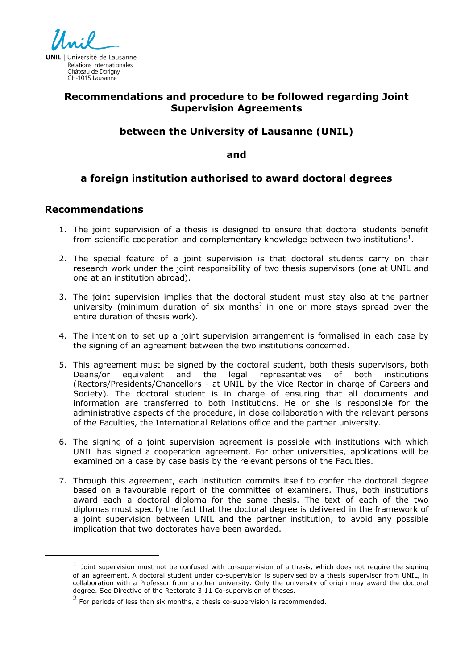

# **Recommendations and procedure to be followed regarding Joint Supervision Agreements**

#### **between the University of Lausanne (UNIL)**

**and**

## **a foreign institution authorised to award doctoral degrees**

#### **Recommendations**

 $\overline{a}$ 

- 1. The joint supervision of a thesis is designed to ensure that doctoral students benefit from scientific cooperation and complementary knowledge between two institutions<sup>1</sup>.
- 2. The special feature of a joint supervision is that doctoral students carry on their research work under the joint responsibility of two thesis supervisors (one at UNIL and one at an institution abroad).
- 3. The joint supervision implies that the doctoral student must stay also at the partner university (minimum duration of six months<sup>2</sup> in one or more stays spread over the entire duration of thesis work).
- 4. The intention to set up a joint supervision arrangement is formalised in each case by the signing of an agreement between the two institutions concerned.
- 5. This agreement must be signed by the doctoral student, both thesis supervisors, both Deans/or equivalent and the legal representatives of both institutions (Rectors/Presidents/Chancellors - at UNIL by the Vice Rector in charge of Careers and Society). The doctoral student is in charge of ensuring that all documents and information are transferred to both institutions. He or she is responsible for the administrative aspects of the procedure, in close collaboration with the relevant persons of the Faculties, the International Relations office and the partner university.
- 6. The signing of a joint supervision agreement is possible with institutions with which UNIL has signed a cooperation agreement. For other universities, applications will be examined on a case by case basis by the relevant persons of the Faculties.
- 7. Through this agreement, each institution commits itself to confer the doctoral degree based on a favourable report of the committee of examiners. Thus, both institutions award each a doctoral diploma for the same thesis. The text of each of the two diplomas must specify the fact that the doctoral degree is delivered in the framework of a joint supervision between UNIL and the partner institution, to avoid any possible implication that two doctorates have been awarded.

 $1$  Joint supervision must not be confused with co-supervision of a thesis, which does not require the signing of an agreement. A doctoral student under co-supervision is supervised by a thesis supervisor from UNIL, in collaboration with a Professor from another university. Only the university of origin may award the doctoral degree. See Directive of the Rectorate 3.11 Co-supervision of theses.

<sup>2</sup> For periods of less than six months, a thesis co-supervision is recommended.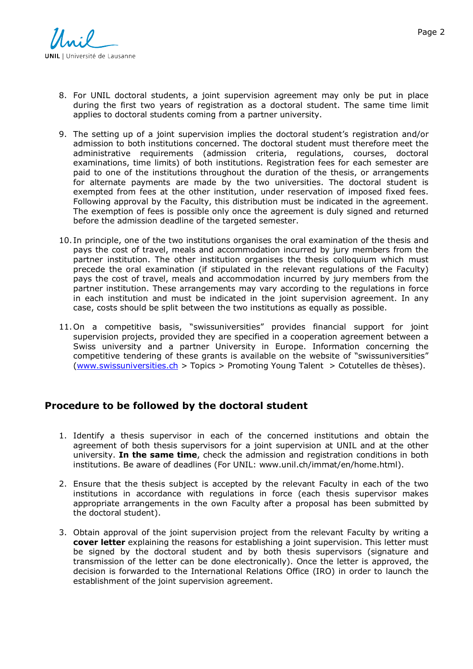

- 8. For UNIL doctoral students, a joint supervision agreement may only be put in place during the first two years of registration as a doctoral student. The same time limit applies to doctoral students coming from a partner university.
- 9. The setting up of a joint supervision implies the doctoral student's registration and/or admission to both institutions concerned. The doctoral student must therefore meet the administrative requirements (admission criteria, regulations, courses, doctoral examinations, time limits) of both institutions. Registration fees for each semester are paid to one of the institutions throughout the duration of the thesis, or arrangements for alternate payments are made by the two universities. The doctoral student is exempted from fees at the other institution, under reservation of imposed fixed fees. Following approval by the Faculty, this distribution must be indicated in the agreement. The exemption of fees is possible only once the agreement is duly signed and returned before the admission deadline of the targeted semester.
- 10. In principle, one of the two institutions organises the oral examination of the thesis and pays the cost of travel, meals and accommodation incurred by jury members from the partner institution. The other institution organises the thesis colloquium which must precede the oral examination (if stipulated in the relevant regulations of the Faculty) pays the cost of travel, meals and accommodation incurred by jury members from the partner institution. These arrangements may vary according to the regulations in force in each institution and must be indicated in the joint supervision agreement. In any case, costs should be split between the two institutions as equally as possible.
- 11.On a competitive basis, "swissuniversities" provides financial support for joint supervision projects, provided they are specified in a cooperation agreement between a Swiss university and a partner University in Europe. Information concerning the competitive tendering of these grants is available on the website of "swissuniversities" (www.swissuniversities.ch > Topics > Promoting Young Talent > Cotutelles de thèses).

## **Procedure to be followed by the doctoral student**

- 1. Identify a thesis supervisor in each of the concerned institutions and obtain the agreement of both thesis supervisors for a joint supervision at UNIL and at the other university. **In the same time**, check the admission and registration conditions in both institutions. Be aware of deadlines (For UNIL: www.unil.ch/immat/en/home.html).
- 2. Ensure that the thesis subject is accepted by the relevant Faculty in each of the two institutions in accordance with regulations in force (each thesis supervisor makes appropriate arrangements in the own Faculty after a proposal has been submitted by the doctoral student).
- 3. Obtain approval of the joint supervision project from the relevant Faculty by writing a **cover letter** explaining the reasons for establishing a joint supervision. This letter must be signed by the doctoral student and by both thesis supervisors (signature and transmission of the letter can be done electronically). Once the letter is approved, the decision is forwarded to the International Relations Office (IRO) in order to launch the establishment of the joint supervision agreement.